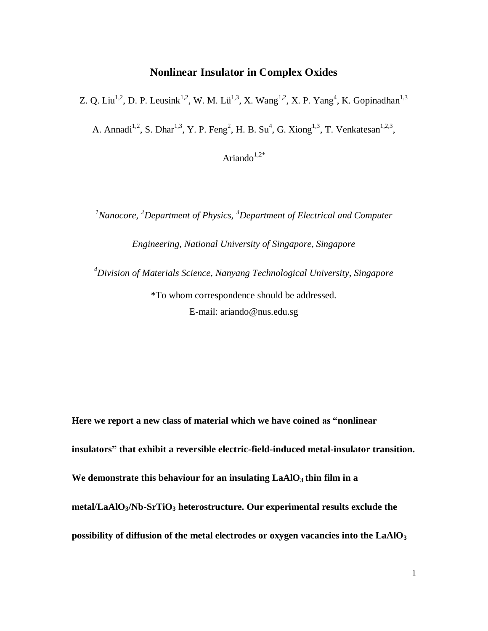## **Nonlinear Insulator in Complex Oxides**

Z. Q. Liu<sup>1,2</sup>, D. P. Leusink<sup>1,2</sup>, W. M. Lü<sup>1,3</sup>, X. Wang<sup>1,2</sup>, X. P. Yang<sup>4</sup>, K. Gopinadhan<sup>1,3</sup>

A. Annadi<sup>1,2</sup>, S. Dhar<sup>1,3</sup>, Y. P. Feng<sup>2</sup>, H. B. Su<sup>4</sup>, G. Xiong<sup>1,3</sup>, T. Venkatesan<sup>1,2,3</sup>,

Ariando $1,2^*$ 

*<sup>1</sup>Nanocore, <sup>2</sup>Department of Physics, <sup>3</sup>Department of Electrical and Computer* 

*Engineering, National University of Singapore, Singapore*

*<sup>4</sup>Division of Materials Science, Nanyang Technological University, Singapore*

\*To whom correspondence should be addressed. E-mail: ariando@nus.edu.sg

**Here we report a new class of material which we have coined as "nonlinear insulators" that exhibit a reversible electric-field-induced metal-insulator transition.**  We demonstrate this behaviour for an insulating  $LaAlO<sub>3</sub>$  thin film in a **metal/LaAlO3/Nb-SrTiO<sup>3</sup> heterostructure. Our experimental results exclude the possibility of diffusion of the metal electrodes or oxygen vacancies into the LaAlO<sup>3</sup>**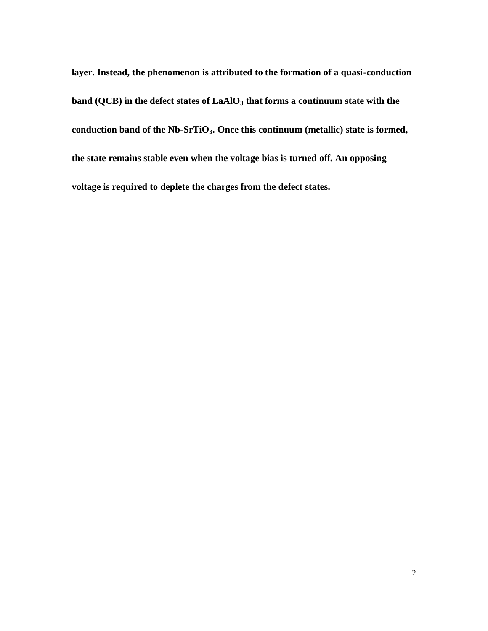**layer. Instead, the phenomenon is attributed to the formation of a quasi-conduction band (QCB) in the defect states of LaAlO<sup>3</sup> that forms a continuum state with the conduction band of the Nb-SrTiO3. Once this continuum (metallic) state is formed, the state remains stable even when the voltage bias is turned off. An opposing voltage is required to deplete the charges from the defect states.**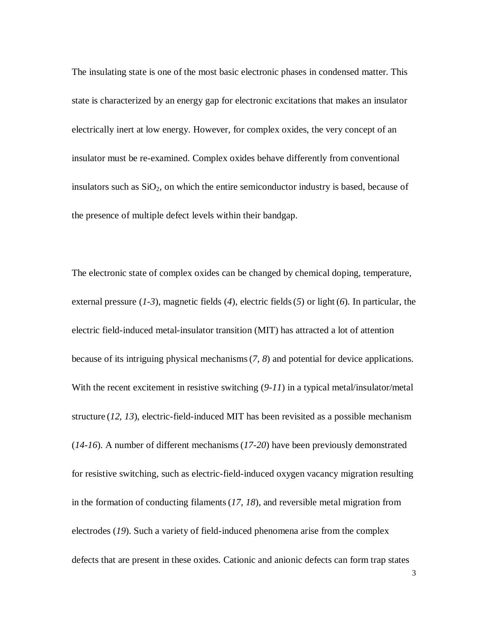The insulating state is one of the most basic electronic phases in condensed matter. This state is characterized by an energy gap for electronic excitations that makes an insulator electrically inert at low energy. However, for complex oxides, the very concept of an insulator must be re-examined. Complex oxides behave differently from conventional insulators such as  $SiO<sub>2</sub>$ , on which the entire semiconductor industry is based, because of the presence of multiple defect levels within their bandgap.

The electronic state of complex oxides can be changed by chemical doping, temperature, external pressure (*1-3*), magnetic fields (*4*), electric fields(*5*) or light (*6*)*.* In particular, the electric field-induced metal-insulator transition (MIT) has attracted a lot of attention because of its intriguing physical mechanisms(*7, 8*) and potential for device applications. With the recent excitement in resistive switching (*9-11*) in a typical metal/insulator/metal structure (*12, 13*), electric-field-induced MIT has been revisited as a possible mechanism (*14-16*). A number of different mechanisms(*17-20*) have been previously demonstrated for resistive switching, such as electric-field-induced oxygen vacancy migration resulting in the formation of conducting filaments(*17, 18*), and reversible metal migration from electrodes (*19*). Such a variety of field-induced phenomena arise from the complex defects that are present in these oxides. Cationic and anionic defects can form trap states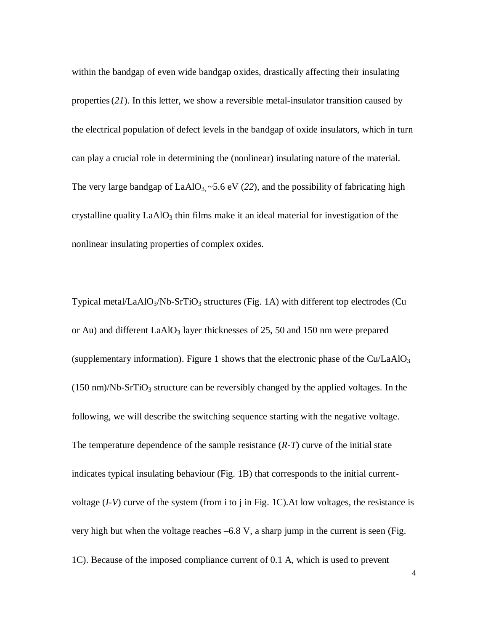within the bandgap of even wide bandgap oxides, drastically affecting their insulating properties(*21*). In this letter, we show a reversible metal-insulator transition caused by the electrical population of defect levels in the bandgap of oxide insulators, which in turn can play a crucial role in determining the (nonlinear) insulating nature of the material. The very large bandgap of  $LaAlO<sub>3</sub> \sim 5.6$  eV (22), and the possibility of fabricating high crystalline quality  $LaAlO<sub>3</sub>$  thin films make it an ideal material for investigation of the nonlinear insulating properties of complex oxides.

Typical metal/LaAlO<sub>3</sub>/Nb-SrTiO<sub>3</sub> structures (Fig. 1A) with different top electrodes (Cu or Au) and different  $LaAlO<sub>3</sub>$  layer thicknesses of 25, 50 and 150 nm were prepared (supplementary information). Figure 1 shows that the electronic phase of the  $Cu/LaAlO<sub>3</sub>$  $(150 \text{ nm})/\text{Nb-SrTiO}_3$  structure can be reversibly changed by the applied voltages. In the following, we will describe the switching sequence starting with the negative voltage. The temperature dependence of the sample resistance (*R-T*) curve of the initial state indicates typical insulating behaviour (Fig. 1B) that corresponds to the initial currentvoltage (*I-V*) curve of the system (from i to j in Fig. 1C).At low voltages, the resistance is very high but when the voltage reaches –6.8 V, a sharp jump in the current is seen (Fig. 1C). Because of the imposed compliance current of 0.1 A, which is used to prevent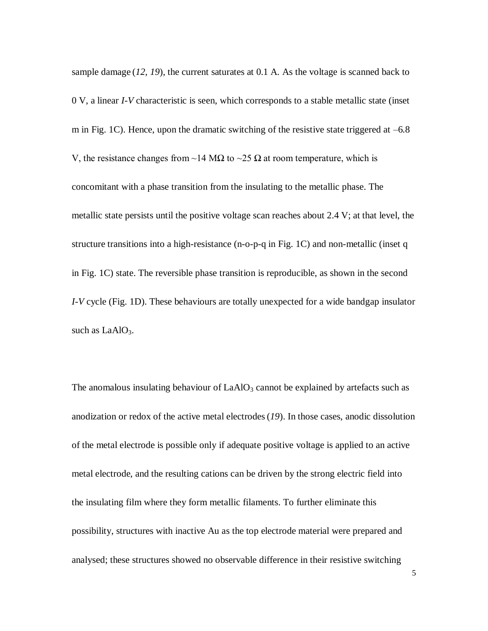sample damage (*12, 19*), the current saturates at 0.1 A. As the voltage is scanned back to 0 V, a linear *I-V* characteristic is seen, which corresponds to a stable metallic state (inset m in Fig. 1C). Hence, upon the dramatic switching of the resistive state triggered at  $-6.8$ V, the resistance changes from ~14 M $\Omega$  to ~25  $\Omega$  at room temperature, which is concomitant with a phase transition from the insulating to the metallic phase. The metallic state persists until the positive voltage scan reaches about 2.4 V; at that level, the structure transitions into a high-resistance (n-o-p-q in Fig. 1C) and non-metallic (inset q in Fig. 1C) state. The reversible phase transition is reproducible, as shown in the second *I-V* cycle (Fig. 1D). These behaviours are totally unexpected for a wide bandgap insulator such as  $LaAlO<sub>3</sub>$ .

The anomalous insulating behaviour of  $LaAlO<sub>3</sub>$  cannot be explained by artefacts such as anodization or redox of the active metal electrodes(*19*). In those cases, anodic dissolution of the metal electrode is possible only if adequate positive voltage is applied to an active metal electrode, and the resulting cations can be driven by the strong electric field into the insulating film where they form metallic filaments. To further eliminate this possibility, structures with inactive Au as the top electrode material were prepared and analysed; these structures showed no observable difference in their resistive switching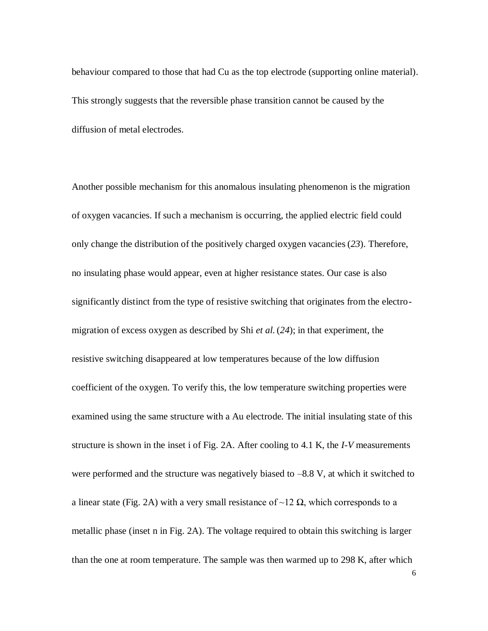behaviour compared to those that had Cu as the top electrode (supporting online material). This strongly suggests that the reversible phase transition cannot be caused by the diffusion of metal electrodes.

Another possible mechanism for this anomalous insulating phenomenon is the migration of oxygen vacancies. If such a mechanism is occurring, the applied electric field could only change the distribution of the positively charged oxygen vacancies(*23*). Therefore, no insulating phase would appear, even at higher resistance states. Our case is also significantly distinct from the type of resistive switching that originates from the electromigration of excess oxygen as described by Shi *et al.* (*24*); in that experiment, the resistive switching disappeared at low temperatures because of the low diffusion coefficient of the oxygen. To verify this, the low temperature switching properties were examined using the same structure with a Au electrode. The initial insulating state of this structure is shown in the inset i of Fig. 2A. After cooling to 4.1 K, the *I-V* measurements were performed and the structure was negatively biased to  $-8.8$  V, at which it switched to a linear state (Fig. 2A) with a very small resistance of ~12  $\Omega$ , which corresponds to a metallic phase (inset n in Fig. 2A). The voltage required to obtain this switching is larger than the one at room temperature. The sample was then warmed up to 298 K, after which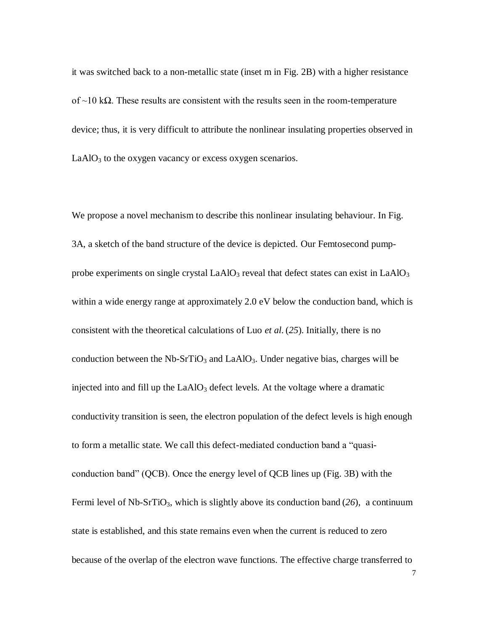it was switched back to a non-metallic state (inset m in Fig. 2B) with a higher resistance of  $\sim$ 10 kΩ. These results are consistent with the results seen in the room-temperature device; thus, it is very difficult to attribute the nonlinear insulating properties observed in  $LaAlO<sub>3</sub>$  to the oxygen vacancy or excess oxygen scenarios.

We propose a novel mechanism to describe this nonlinear insulating behaviour. In Fig. 3A, a sketch of the band structure of the device is depicted. Our Femtosecond pumpprobe experiments on single crystal LaAlO<sub>3</sub> reveal that defect states can exist in LaAlO<sub>3</sub> within a wide energy range at approximately 2.0 eV below the conduction band, which is consistent with the theoretical calculations of Luo *et al.* (*25*). Initially, there is no conduction between the Nb-SrTiO<sub>3</sub> and LaAlO<sub>3</sub>. Under negative bias, charges will be injected into and fill up the  $LaAlO<sub>3</sub>$  defect levels. At the voltage where a dramatic conductivity transition is seen, the electron population of the defect levels is high enough to form a metallic state. We call this defect-mediated conduction band a "quasiconduction band" (QCB). Once the energy level of QCB lines up (Fig. 3B) with the Fermi level of Nb-SrTiO<sub>3</sub>, which is slightly above its conduction band  $(26)$ , a continuum state is established, and this state remains even when the current is reduced to zero because of the overlap of the electron wave functions. The effective charge transferred to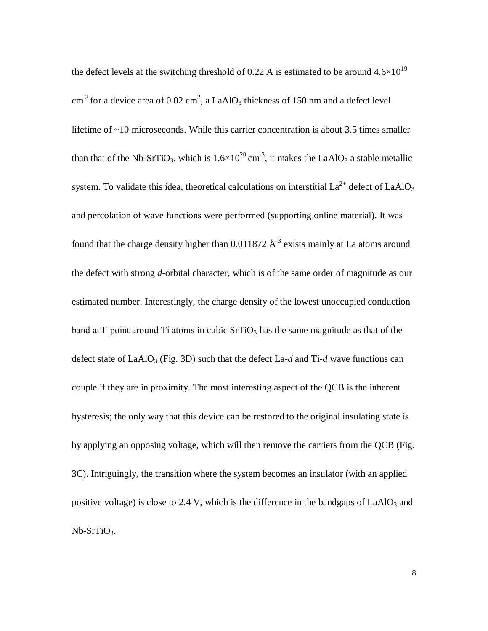the defect levels at the switching threshold of 0.22 A is estimated to be around  $4.6\times10^{19}$ cm<sup>-3</sup> for a device area of 0.02 cm<sup>2</sup>, a LaAlO<sub>3</sub> thickness of 150 nm and a defect level lifetime of ~10 microseconds. While this carrier concentration is about 3.5 times smaller than that of the Nb-SrTiO<sub>3</sub>, which is  $1.6 \times 10^{20}$  cm<sup>-3</sup>, it makes the LaAlO<sub>3</sub> a stable metallic system. To validate this idea, theoretical calculations on interstitial  $La^{2+}$  defect of LaAlO<sub>3</sub> and percolation of wave functions were performed (supporting online material). It was found that the charge density higher than  $0.011872 \text{ Å}^3$  exists mainly at La atoms around the defect with strong *d*-orbital character, which is of the same order of magnitude as our estimated number. Interestingly, the charge density of the lowest unoccupied conduction band at  $\Gamma$  point around  $\Gamma$  atoms in cubic Sr $\Gamma$ iO<sub>3</sub> has the same magnitude as that of the defect state of  $LaAlO<sub>3</sub>$  (Fig. 3D) such that the defect  $La-d$  and Ti- $d$  wave functions can couple if they are in proximity. The most interesting aspect of the QCB is the inherent hysteresis; the only way that this device can be restored to the original insulating state is by applying an opposing voltage, which will then remove the carriers from the QCB (Fig. 3C). Intriguingly, the transition where the system becomes an insulator (with an applied positive voltage) is close to 2.4 V, which is the difference in the bandgaps of  $LaAlO<sub>3</sub>$  and Nb-SrTiO<sub>3</sub>.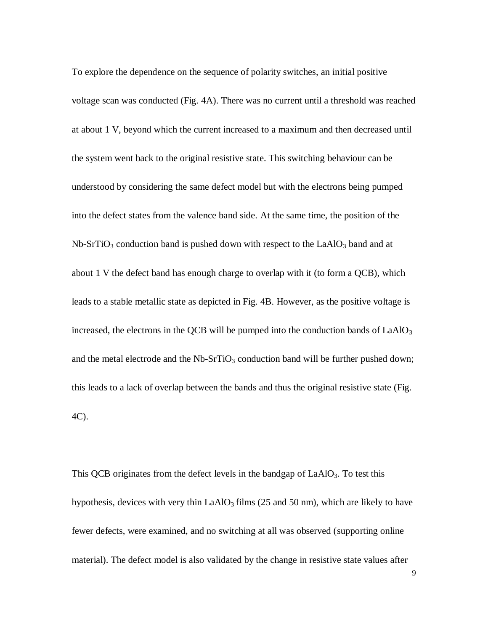To explore the dependence on the sequence of polarity switches, an initial positive voltage scan was conducted (Fig. 4A). There was no current until a threshold was reached at about 1 V, beyond which the current increased to a maximum and then decreased until the system went back to the original resistive state. This switching behaviour can be understood by considering the same defect model but with the electrons being pumped into the defect states from the valence band side. At the same time, the position of the  $Nb-SrTiO<sub>3</sub>$  conduction band is pushed down with respect to the LaAlO<sub>3</sub> band and at about 1 V the defect band has enough charge to overlap with it (to form a QCB), which leads to a stable metallic state as depicted in Fig. 4B. However, as the positive voltage is increased, the electrons in the QCB will be pumped into the conduction bands of  $LaAlO<sub>3</sub>$ and the metal electrode and the  $Nb-SrTiO<sub>3</sub>$  conduction band will be further pushed down; this leads to a lack of overlap between the bands and thus the original resistive state (Fig. 4C).

This QCB originates from the defect levels in the bandgap of  $LaAlO<sub>3</sub>$ . To test this hypothesis, devices with very thin  $LaAlO<sub>3</sub>$  films (25 and 50 nm), which are likely to have fewer defects, were examined, and no switching at all was observed (supporting online material). The defect model is also validated by the change in resistive state values after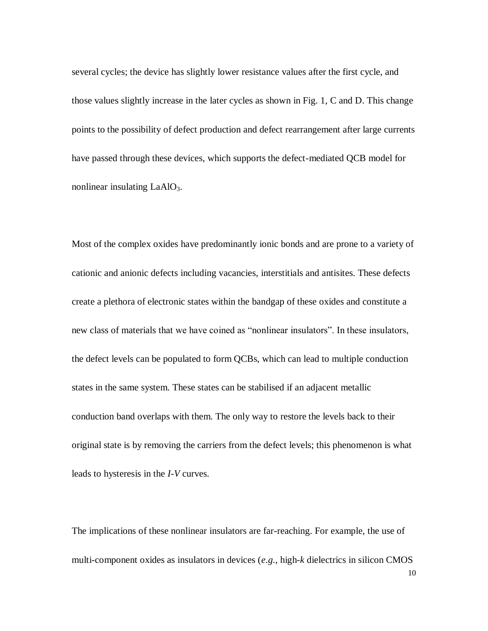several cycles; the device has slightly lower resistance values after the first cycle, and those values slightly increase in the later cycles as shown in Fig. 1, C and D. This change points to the possibility of defect production and defect rearrangement after large currents have passed through these devices, which supports the defect-mediated QCB model for nonlinear insulating  $LaAlO<sub>3</sub>$ .

Most of the complex oxides have predominantly ionic bonds and are prone to a variety of cationic and anionic defects including vacancies, interstitials and antisites. These defects create a plethora of electronic states within the bandgap of these oxides and constitute a new class of materials that we have coined as "nonlinear insulators". In these insulators, the defect levels can be populated to form QCBs, which can lead to multiple conduction states in the same system. These states can be stabilised if an adjacent metallic conduction band overlaps with them. The only way to restore the levels back to their original state is by removing the carriers from the defect levels; this phenomenon is what leads to hysteresis in the *I-V* curves.

The implications of these nonlinear insulators are far-reaching. For example, the use of multi-component oxides as insulators in devices (*e.g.,* high-*k* dielectrics in silicon CMOS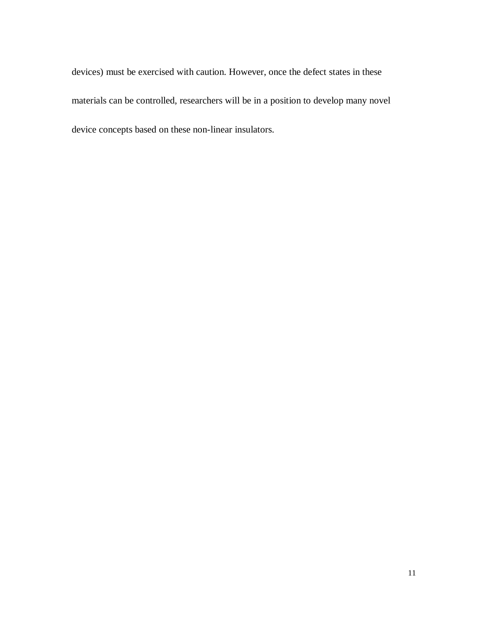devices) must be exercised with caution. However, once the defect states in these materials can be controlled, researchers will be in a position to develop many novel device concepts based on these non-linear insulators.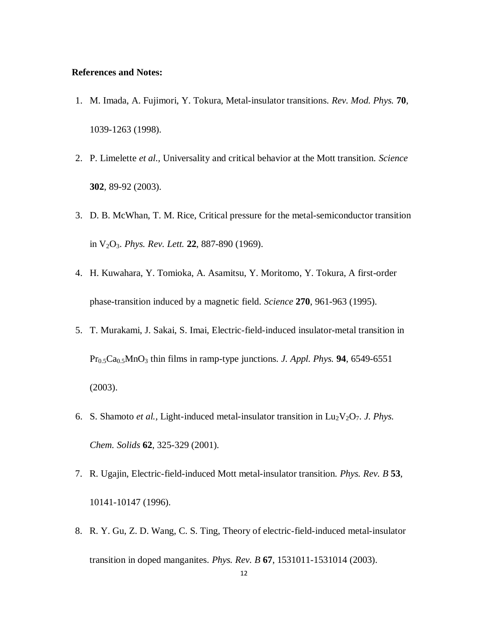## **References and Notes:**

- 1. M. Imada, A. Fujimori, Y. Tokura, Metal-insulator transitions. *Rev. Mod. Phys.* **70**, 1039-1263 (1998).
- 2. P. Limelette *et al.,* Universality and critical behavior at the Mott transition. *Science*  **302**, 89-92 (2003).
- 3. D. B. McWhan, T. M. Rice, Critical pressure for the metal-semiconductor transition in V2O3. *Phys. Rev. Lett.* **22**, 887-890 (1969).
- 4. H. Kuwahara, Y. Tomioka, A. Asamitsu, Y. Moritomo, Y. Tokura, A first-order phase-transition induced by a magnetic field. *Science* **270**, 961-963 (1995).
- 5. T. Murakami, J. Sakai, S. Imai, Electric-field-induced insulator-metal transition in Pr0.5Ca0.5MnO<sup>3</sup> thin films in ramp-type junctions. *J. Appl. Phys.* **94**, 6549-6551 (2003).
- 6. S. Shamoto *et al.*, Light-induced metal-insulator transition in  $Lu_2V_2O_7$ . *J. Phys. Chem. Solids* **62**, 325-329 (2001).
- 7. R. Ugajin, Electric-field-induced Mott metal-insulator transition. *Phys. Rev. B* **53**, 10141-10147 (1996).
- 8. R. Y. Gu, Z. D. Wang, C. S. Ting, Theory of electric-field-induced metal-insulator transition in doped manganites. *Phys. Rev. B* **67**, 1531011-1531014 (2003).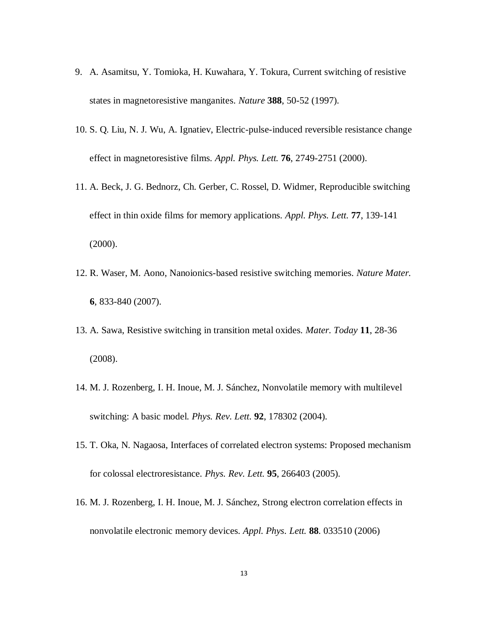- 9. A. Asamitsu, Y. Tomioka, H. Kuwahara, Y. Tokura, Current switching of resistive states in magnetoresistive manganites. *Nature* **388**, 50-52 (1997).
- 10. S. Q. Liu, N. J. Wu, A. Ignatiev, Electric-pulse-induced reversible resistance change effect in magnetoresistive films. *Appl. Phys. Lett.* **76**, 2749-2751 (2000).
- 11. A. Beck, J. G. Bednorz, Ch. Gerber, C. Rossel, D. Widmer, Reproducible switching effect in thin oxide films for memory applications. *Appl. Phys. Lett.* **77**, 139-141 (2000).
- 12. R. Waser, M. Aono, Nanoionics-based resistive switching memories. *Nature Mater.* **6**, 833-840 (2007).
- 13. A. Sawa, Resistive switching in transition metal oxides. *Mater. Today* **11**, 28-36 (2008).
- 14. M. J. Rozenberg, I. H. Inoue, M. J. Sánchez, Nonvolatile memory with multilevel switching: A basic model. *Phys. Rev. Lett.* **92**, 178302 (2004).
- 15. T. Oka, N. Nagaosa, Interfaces of correlated electron systems: Proposed mechanism for colossal electroresistance. *Phys. Rev. Lett.* **95**, 266403 (2005).
- 16. M. J. Rozenberg, I. H. Inoue, M. J. Sánchez, Strong electron correlation effects in nonvolatile electronic memory devices. *Appl. Phys. Lett.* **88**. 033510 (2006)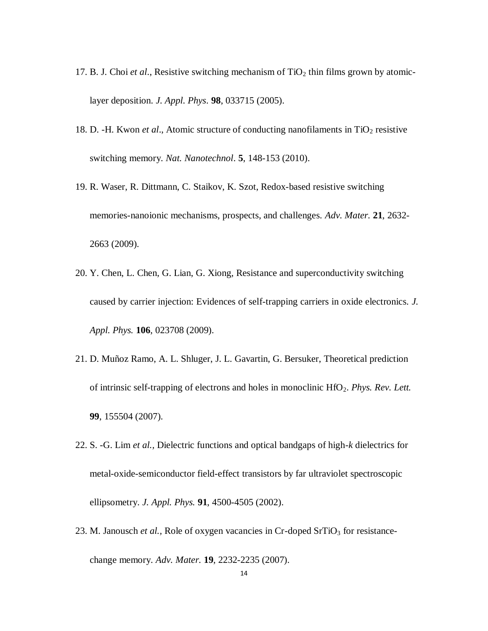- 17. B. J. Choi *et al.*, Resistive switching mechanism of  $TiO<sub>2</sub>$  thin films grown by atomiclayer deposition. *J. Appl. Phys*. **98**, 033715 (2005).
- 18. D. -H. Kwon *et al.*, Atomic structure of conducting nanofilaments in TiO<sub>2</sub> resistive switching memory. *Nat. Nanotechnol*. **5**, 148-153 (2010).
- 19. R. Waser, R. Dittmann, C. Staikov, K. Szot, Redox-based resistive switching memories-nanoionic mechanisms, prospects, and challenges. *Adv. Mater.* **21**, 2632- 2663 (2009).
- 20. Y. Chen, L. Chen, G. Lian, G. Xiong, Resistance and superconductivity switching caused by carrier injection: Evidences of self-trapping carriers in oxide electronics. *J. Appl. Phys.* **106**, 023708 (2009).
- 21. D. Muñoz Ramo, A. L. Shluger, J. L. Gavartin, G. Bersuker, Theoretical prediction of intrinsic self-trapping of electrons and holes in monoclinic HfO2. *Phys. Rev. Lett.* **99**, 155504 (2007).
- 22. S. -G. Lim *et al.,* Dielectric functions and optical bandgaps of high-*k* dielectrics for metal-oxide-semiconductor field-effect transistors by far ultraviolet spectroscopic ellipsometry. *J. Appl. Phys.* **91**, 4500-4505 (2002).
- 23. M. Janousch *et al.*, Role of oxygen vacancies in Cr-doped SrTiO<sub>3</sub> for resistancechange memory. *Adv. Mater.* **19**, 2232-2235 (2007).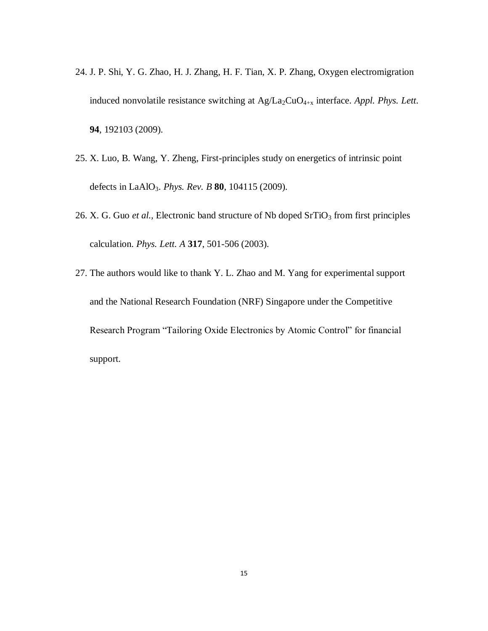- 24. J. P. Shi, Y. G. Zhao, H. J. Zhang, H. F. Tian, X. P. Zhang, Oxygen electromigration induced nonvolatile resistance switching at Ag/La2CuO4+x interface. *Appl. Phys. Lett*. **94**, 192103 (2009).
- 25. X. Luo, B. Wang, Y. Zheng, First-principles study on energetics of intrinsic point defects in LaAlO3. *Phys. Rev. B* **80**, 104115 (2009).
- 26. X. G. Guo *et al.*, Electronic band structure of Nb doped SrTiO<sub>3</sub> from first principles calculation. *Phys. Lett. A* **317**, 501-506 (2003).
- 27. The authors would like to thank Y. L. Zhao and M. Yang for experimental support and the National Research Foundation (NRF) Singapore under the Competitive Research Program "Tailoring Oxide Electronics by Atomic Control" for financial support.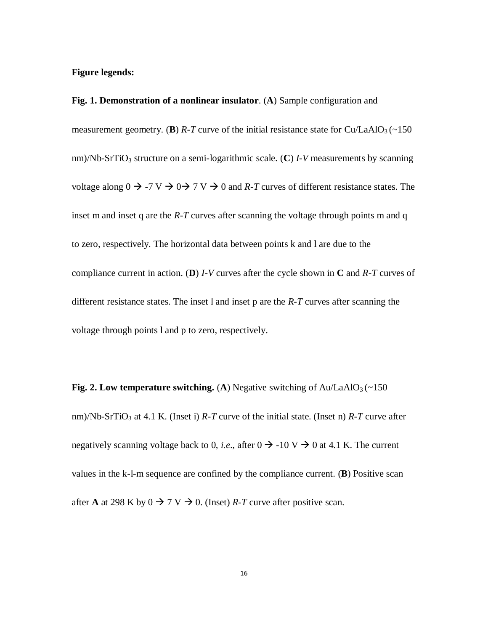**Figure legends:**

**Fig. 1. Demonstration of a nonlinear insulator**. (**A**) Sample configuration and measurement geometry. (**B**)  $R$ -T curve of the initial resistance state for Cu/LaAlO<sub>3</sub> (~150) nm)/Nb-SrTiO<sub>3</sub> structure on a semi-logarithmic scale. (C)  $I-V$  measurements by scanning voltage along  $0 \to -7 \text{ V} \to 0 \to 7 \text{ V} \to 0$  and *R-T* curves of different resistance states. The inset m and inset q are the *R-T* curves after scanning the voltage through points m and q to zero, respectively. The horizontal data between points k and l are due to the compliance current in action. (**D**) *I-V* curves after the cycle shown in **C** and *R-T* curves of different resistance states. The inset l and inset p are the *R-T* curves after scanning the voltage through points l and p to zero, respectively.

**Fig. 2. Low temperature switching. (A) Negative switching of**  $Au/LaAlO<sub>3</sub>(~150$ nm)/Nb-SrTiO<sub>3</sub> at 4.1 K. (Inset i)  $R$ -T curve of the initial state. (Inset n)  $R$ -T curve after negatively scanning voltage back to 0, *i.e.*, after  $0 \rightarrow -10 \text{ V} \rightarrow 0$  at 4.1 K. The current values in the k-l-m sequence are confined by the compliance current. (**B**) Positive scan after **A** at 298 K by  $0 \rightarrow 7 \text{ V} \rightarrow 0$ . (Inset) *R*-*T* curve after positive scan.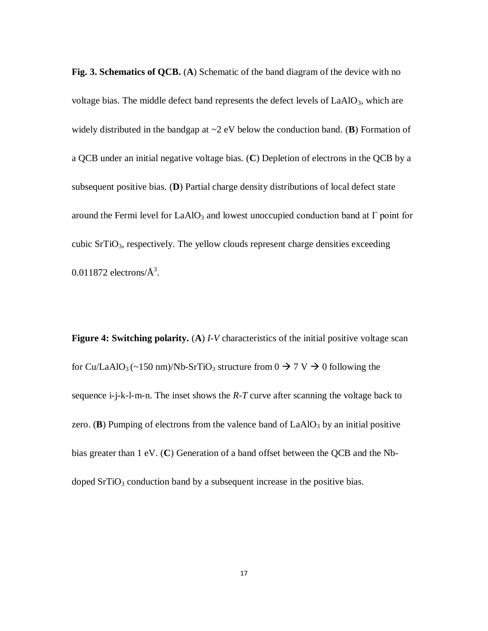**Fig. 3. Schematics of QCB.** (**A**) Schematic of the band diagram of the device with no voltage bias. The middle defect band represents the defect levels of LaAlO<sub>3</sub>, which are widely distributed in the bandgap at ~2 eV below the conduction band. (**B**) Formation of a QCB under an initial negative voltage bias. (**C**) Depletion of electrons in the QCB by a subsequent positive bias. (**D**) Partial charge density distributions of local defect state around the Fermi level for LaAlO<sub>3</sub> and lowest unoccupied conduction band at  $\Gamma$  point for cubic  $SrTiO<sub>3</sub>$ , respectively. The yellow clouds represent charge densities exceeding  $0.011872$  electrons/ $\AA^3$ .

**Figure 4: Switching polarity.** (**A**) *I-V* characteristics of the initial positive voltage scan for Cu/LaAlO<sub>3</sub> (~150 nm)/Nb-SrTiO<sub>3</sub> structure from  $0 \rightarrow 7 \text{ V} \rightarrow 0$  following the sequence i-j-k-l-m-n. The inset shows the *R-T* curve after scanning the voltage back to zero. (**B**) Pumping of electrons from the valence band of  $LaAlO<sub>3</sub>$  by an initial positive bias greater than 1 eV. (**C**) Generation of a band offset between the QCB and the Nbdoped  $SrTiO<sub>3</sub>$  conduction band by a subsequent increase in the positive bias.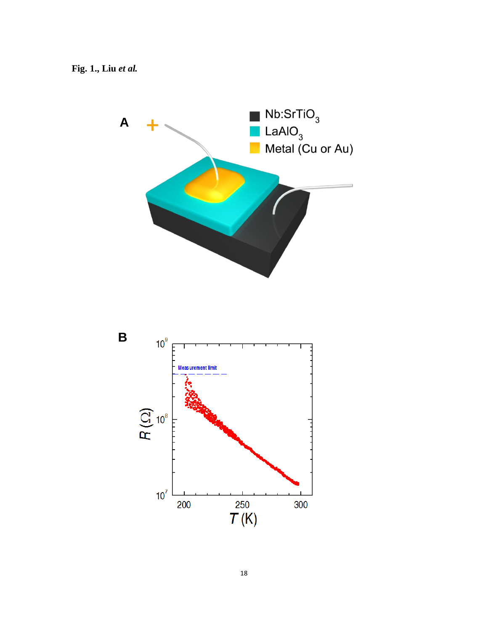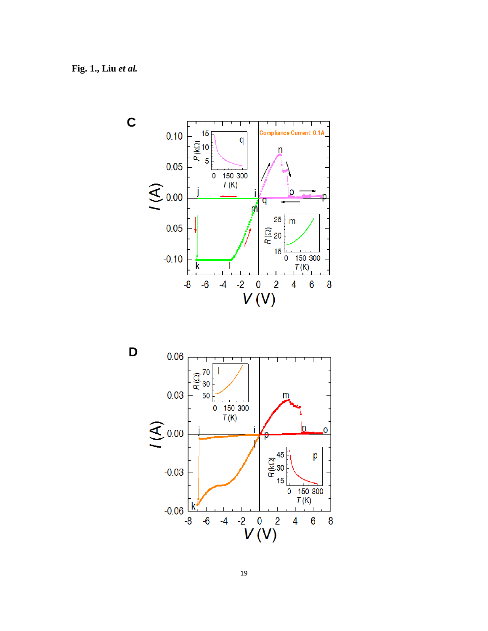



19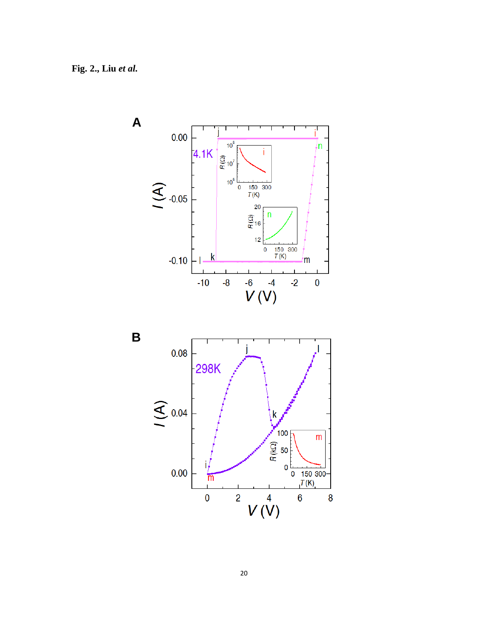

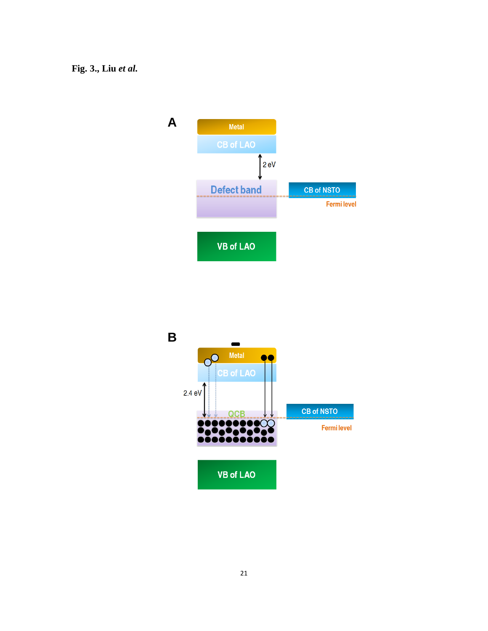## **Fig. 3., Liu** *et al***.**



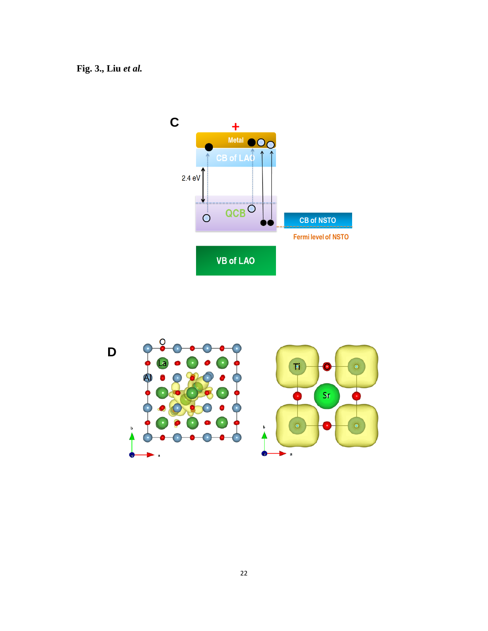